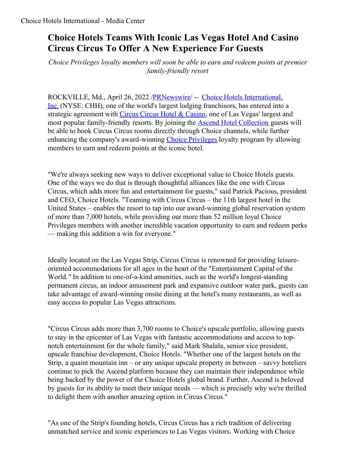## **Choice Hotels Teams With Iconic Las Vegas Hotel And Casino Circus Circus To Offer A New Experience For Guests**

*Choice Privileges loyalty members will soon be able to earn and redeem points at premier family-friendly resort*

[ROCKVILLE,](https://c212.net/c/link/?t=0&l=en&o=3515650-1&h=1422817485&u=https%3A%2F%2Fc212.net%2Fc%2Flink%2F%3Ft%3D0%26l%3Den%26o%3D3059275-1%26h%3D573021742%26u%3Dhttps%253A%252F%252Fwww.choicehotels.com%252F%26a%3DChoice%2BHotels%2BInternational%252C%2BInc.&a=Choice+Hotels+International%2C+Inc.) Md., April 26, 2022 [/PRNewswire](http://www.prnewswire.com/)/ -- Choice Hotels International, Inc. (NYSE: CHH), one of the world's largest lodging franchisors, has entered into a strategic agreement with Circus Circus Hotel & [Casino](https://c212.net/c/link/?t=0&l=en&o=3515650-1&h=33734999&u=https%3A%2F%2Fwww.circuscircus.com%2F&a=Circus+Circus+Hotel+%26+Casino), one of Las Vegas' largest and most popular family-friendly resorts. By joining the Ascend Hotel [Collection](https://c212.net/c/link/?t=0&l=en&o=3515650-1&h=502725254&u=https%3A%2F%2Fwww.choicehotels.com%2Fascend&a=Ascend+Hotel+Collection) guests will be able to book Circus Circus rooms directly through Choice channels, while further enhancing the company's award-winning Choice [Privileges](https://c212.net/c/link/?t=0&l=en&o=3515650-1&h=1770283054&u=https%3A%2F%2Fwww.choicehotels.com%2Fchoice-privileges&a=Choice+Privileges) loyalty program by allowing members to earn and redeem points at the iconic hotel.

"We're always seeking new ways to deliver exceptional value to Choice Hotels guests. One of the ways we do that is through thoughtful alliances like the one with Circus Circus, which adds more fun and entertainment for guests," said Patrick Pacious, president and CEO, Choice Hotels. "Teaming with Circus Circus – the 11th largest hotel in the United States – enables the resort to tap into our award-winning global reservation system of more than 7,000 hotels, while providing our more than 52 million loyal Choice Privileges members with another incredible vacation opportunity to earn and redeem perks — making this addition a win for everyone."

Ideally located on the Las Vegas Strip, Circus Circus is renowned for providing leisureoriented accommodations for all ages in the heart of the "Entertainment Capital of the World.*"* In addition to one-of-a-kind amenities, such as the world's longest-standing permanent circus, an indoor amusement park and expansive outdoor water park, guests can take advantage of award-winning onsite dining at the hotel's many restaurants, as well as easy access to popular Las Vegas attractions.

"Circus Circus adds more than 3,700 rooms to Choice's upscale portfolio, allowing guests to stay in the epicenter of Las Vegas with fantastic accommodations and access to topnotch entertainment for the whole family," said Mark Shalala, senior vice president, upscale franchise development, Choice Hotels. "Whether one of the largest hotels on the Strip, a quaint mountain inn – or any unique upscale property in between – savvy hoteliers continue to pick the Ascend platform because they can maintain their independence while being backed by the power of the Choice Hotels global brand. Further, Ascend is beloved by guests for its ability to meet their unique needs — which is precisely why we're thrilled to delight them with another amazing option in Circus Circus."

"As one of the Strip's founding hotels, Circus Circus has a rich tradition of delivering unmatched service and iconic experiences to Las Vegas visitors. Working with Choice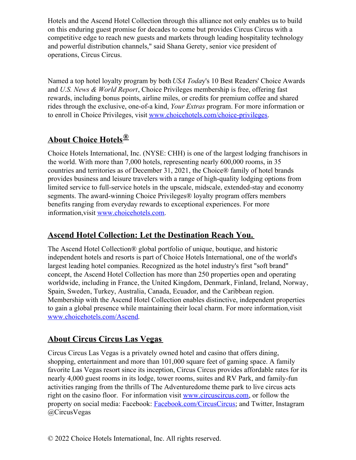Hotels and the Ascend Hotel Collection through this alliance not only enables us to build on this enduring guest promise for decades to come but provides Circus Circus with a competitive edge to reach new guests and markets through leading hospitality technology and powerful distribution channels," said Shana Gerety, senior vice president of operations, Circus Circus.

Named a top hotel loyalty program by both *USA Toda*y's 10 Best Readers' Choice Awards and *U.S. News & World Report*, Choice Privileges membership is free, offering fast rewards, including bonus points, airline miles, or credits for premium coffee and shared rides through the exclusive, one-of-a kind, *Your Extras* program. For more information or to enroll in Choice Privileges, visit [www.choicehotels.com/choice-privileges](https://c212.net/c/link/?t=0&l=en&o=3515650-1&h=2021835144&u=https%3A%2F%2Fc212.net%2Fc%2Flink%2F%3Ft%3D0%26l%3Den%26o%3D3036154-1%26h%3D1591896436%26u%3Dhttp%253A%252F%252Fwww.choicehotels.com%252Fchoice-privileges%26a%3Dwww.choicehotels.com%252Fchoice-privileges&a=www.choicehotels.com%2Fchoice-privileges).

## **About Choice Hotels®**

Choice Hotels International, Inc. (NYSE: CHH) is one of the largest lodging franchisors in the world. With more than 7,000 hotels, representing nearly 600,000 rooms, in 35 countries and territories as of December 31, 2021, the Choice® family of hotel brands provides business and leisure travelers with a range of high-quality lodging options from limited service to full-service hotels in the upscale, midscale, extended-stay and economy segments. The award-winning Choice Privileges® loyalty program offers members benefits ranging from everyday rewards to exceptional experiences. For more information,visit [www.choicehotels.com](https://c212.net/c/link/?t=0&l=en&o=3515650-1&h=1427744528&u=http%3A%2F%2Fwww.choicehotels.com%2F&a=www.choicehotels.com).

## **Ascend Hotel Collection: Let the Destination Reach You.**

The Ascend Hotel Collection® global portfolio of unique, boutique, and historic independent hotels and resorts is part of Choice Hotels International, one of the world's largest leading hotel companies. Recognized as the hotel industry's first "soft brand" concept, the Ascend Hotel Collection has more than 250 properties open and operating worldwide, including in France, the United Kingdom, Denmark, Finland, Ireland, Norway, Spain, Sweden, Turkey, Australia, Canada, Ecuador, and the Caribbean region. Membership with the Ascend Hotel Collection enables distinctive, independent properties to gain a global presence while maintaining their local charm. For more information,visit [www.choicehotels.com/Ascend](https://c212.net/c/link/?t=0&l=en&o=3515650-1&h=891475698&u=https%3A%2F%2Fc212.net%2Fc%2Flink%2F%3Ft%3D0%26l%3Den%26o%3D3036154-1%26h%3D1141489094%26u%3Dhttp%253A%252F%252Fwww.choicehotels.com%252FAscend%26a%3Dwww.choicehotels.com%252FAscend&a=www.choicehotels.com%2FAscend).

## **About Circus Circus Las Vegas**

Circus Circus Las Vegas is a privately owned hotel and casino that offers dining, shopping, entertainment and more than 101,000 square feet of gaming space. A family favorite Las Vegas resort since its inception, Circus Circus provides affordable rates for its nearly 4,000 guest rooms in its lodge, tower rooms, suites and RV Park, and family-fun activities ranging from the thrills of The Adventuredome theme park to live circus acts right on the casino floor. For information visit [www.circuscircus.com](https://c212.net/c/link/?t=0&l=en&o=3515650-1&h=2123627594&u=https%3A%2F%2Fnam10.safelinks.protection.outlook.com%2F%3Furl%3Dhttp%253A%252F%252Fwww.circuscircus.com%252F%26data%3D04%257C01%257CAmanda.Allen%2540choicehotels.com%257C4f78bade3b924d54a93208da1f42d0a6%257C5a5b746ac9354f2cbf6166b19af02702%257C1%257C0%257C637856669091742395%257CUnknown%257CTWFpbGZsb3d8eyJWIjoiMC4wLjAwMDAiLCJQIjoiV2luMzIiLCJBTiI6Ik1haWwiLCJXVCI6Mn0%253D%257C3000%26sdata%3DeMK4wwWyb4kWsc0telRzTlTS6kGWgV7rq1QeSObgYJQ%253D%26reserved%3D0&a=www.circuscircus.com), or follow the property on social media: Facebook: [Facebook.com/CircusCircus](https://c212.net/c/link/?t=0&l=en&o=3515650-1&h=555527178&u=https%3A%2F%2Fnam10.safelinks.protection.outlook.com%2F%3Furl%3Dhttp%253A%252F%252Ffacebook.com%252FCircusCircus%26data%3D04%257C01%257CAmanda.Allen%2540choicehotels.com%257C4f78bade3b924d54a93208da1f42d0a6%257C5a5b746ac9354f2cbf6166b19af02702%257C1%257C0%257C637856669091742395%257CUnknown%257CTWFpbGZsb3d8eyJWIjoiMC4wLjAwMDAiLCJQIjoiV2luMzIiLCJBTiI6Ik1haWwiLCJXVCI6Mn0%253D%257C3000%26sdata%3DtfL6G2IoZzPoTG58rpuPBbrC8l7XKdLDMlpexggJ6yo%253D%26reserved%3D0&a=Facebook.com%2FCircusCircus); and Twitter, Instagram @CircusVegas